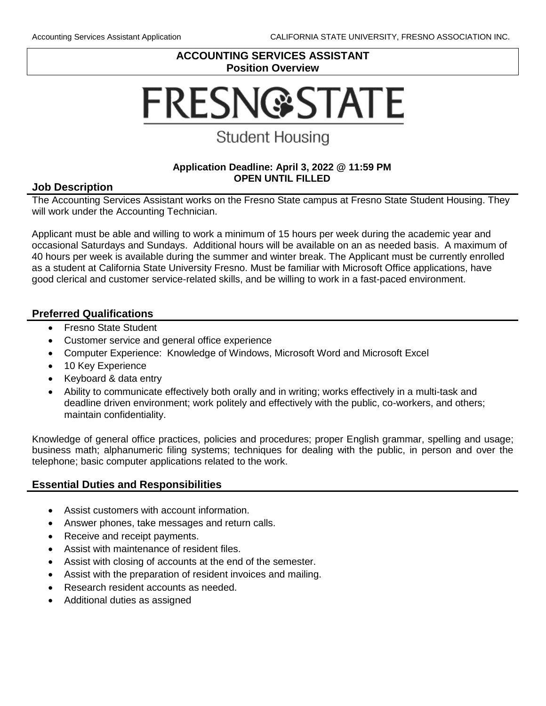# **ACCOUNTING SERVICES ASSISTANT Position Overview**

# **FRESN@STATE**

# **Student Housing**

#### **Application Deadline: April 3, 2022 @ 11:59 PM OPEN UNTIL FILLED**

## **Job Description**

The Accounting Services Assistant works on the Fresno State campus at Fresno State Student Housing. They will work under the Accounting Technician.

Applicant must be able and willing to work a minimum of 15 hours per week during the academic year and occasional Saturdays and Sundays. Additional hours will be available on an as needed basis. A maximum of 40 hours per week is available during the summer and winter break. The Applicant must be currently enrolled as a student at California State University Fresno. Must be familiar with Microsoft Office applications, have good clerical and customer service-related skills, and be willing to work in a fast-paced environment.

# **Preferred Qualifications**

- Fresno State Student
- Customer service and general office experience
- Computer Experience: Knowledge of Windows, Microsoft Word and Microsoft Excel
- 10 Key Experience
- Keyboard & data entry
- Ability to communicate effectively both orally and in writing; works effectively in a multi-task and deadline driven environment; work politely and effectively with the public, co-workers, and others; maintain confidentiality.

Knowledge of general office practices, policies and procedures; proper English grammar, spelling and usage; business math; alphanumeric filing systems; techniques for dealing with the public, in person and over the telephone; basic computer applications related to the work.

# **Essential Duties and Responsibilities**

- Assist customers with account information.
- Answer phones, take messages and return calls.
- Receive and receipt payments.
- Assist with maintenance of resident files.
- Assist with closing of accounts at the end of the semester.
- Assist with the preparation of resident invoices and mailing.
- Research resident accounts as needed.
- Additional duties as assigned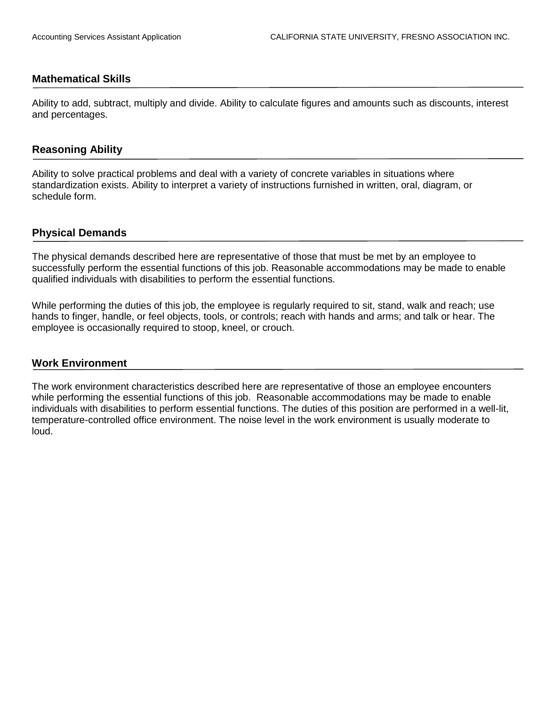#### **Mathematical Skills**

Ability to add, subtract, multiply and divide. Ability to calculate figures and amounts such as discounts, interest and percentages.

#### **Reasoning Ability**

Ability to solve practical problems and deal with a variety of concrete variables in situations where standardization exists. Ability to interpret a variety of instructions furnished in written, oral, diagram, or schedule form.

#### **Physical Demands**

The physical demands described here are representative of those that must be met by an employee to successfully perform the essential functions of this job. Reasonable accommodations may be made to enable qualified individuals with disabilities to perform the essential functions.

While performing the duties of this job, the employee is regularly required to sit, stand, walk and reach; use hands to finger, handle, or feel objects, tools, or controls; reach with hands and arms; and talk or hear. The employee is occasionally required to stoop, kneel, or crouch.

#### **Work Environment**

The work environment characteristics described here are representative of those an employee encounters while performing the essential functions of this job. Reasonable accommodations may be made to enable individuals with disabilities to perform essential functions. The duties of this position are performed in a well-lit, temperature-controlled office environment. The noise level in the work environment is usually moderate to loud.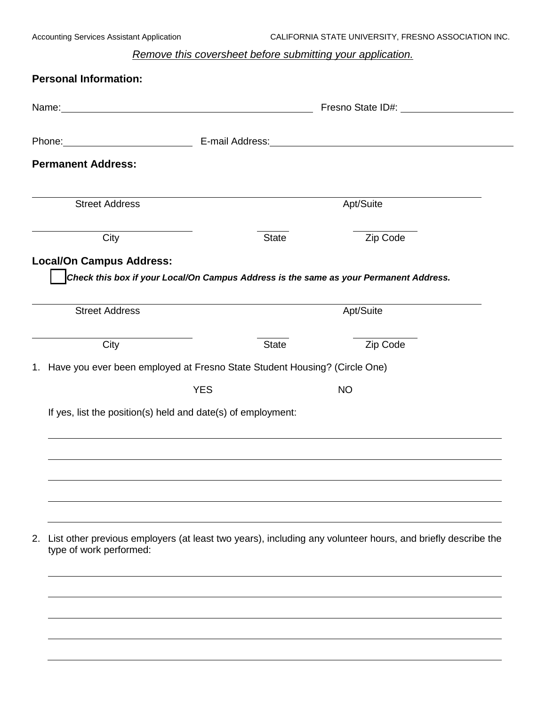# *Remove this coversheet before submitting your application.*

| <b>Personal Information:</b>                                                                                                                                                                                                   |            |              |                                                                                                                                                                                                                                |  |
|--------------------------------------------------------------------------------------------------------------------------------------------------------------------------------------------------------------------------------|------------|--------------|--------------------------------------------------------------------------------------------------------------------------------------------------------------------------------------------------------------------------------|--|
| Name: Name:                                                                                                                                                                                                                    |            |              | Fresno State ID#: \\sqrting\\sqrting\sqrting\sqrting\sqrting\sqrting\sqrting\sqrting\sqrting\sqrting\sqrting\sqrting\sqrting\sqrting\sqrting\sqrting\sqrting\sqrting\sqrting\sqrting\sqrting\sqrting\sqrting\sqrting\sqrting\s |  |
| Phone: E-mail Address: E-mail: E-mail: Address: All Annual Address: All Annual Address: All Annual Address: All Annual Address: All Annual Address: All Annual Address: All Annual Address: All Annual Address: All Annual Add |            |              |                                                                                                                                                                                                                                |  |
| <b>Permanent Address:</b>                                                                                                                                                                                                      |            |              |                                                                                                                                                                                                                                |  |
| <b>Street Address</b>                                                                                                                                                                                                          |            |              | Apt/Suite                                                                                                                                                                                                                      |  |
| City                                                                                                                                                                                                                           |            | <b>State</b> | Zip Code                                                                                                                                                                                                                       |  |
| <b>Local/On Campus Address:</b>                                                                                                                                                                                                |            |              |                                                                                                                                                                                                                                |  |
|                                                                                                                                                                                                                                |            |              | Check this box if your Local/On Campus Address is the same as your Permanent Address.                                                                                                                                          |  |
| <b>Street Address</b>                                                                                                                                                                                                          |            |              | Apt/Suite                                                                                                                                                                                                                      |  |
| City                                                                                                                                                                                                                           |            | <b>State</b> | Zip Code                                                                                                                                                                                                                       |  |
| 1. Have you ever been employed at Fresno State Student Housing? (Circle One)                                                                                                                                                   |            |              |                                                                                                                                                                                                                                |  |
|                                                                                                                                                                                                                                | <b>YES</b> |              | <b>NO</b>                                                                                                                                                                                                                      |  |
| If yes, list the position(s) held and date(s) of employment:                                                                                                                                                                   |            |              |                                                                                                                                                                                                                                |  |
|                                                                                                                                                                                                                                |            |              |                                                                                                                                                                                                                                |  |
|                                                                                                                                                                                                                                |            |              |                                                                                                                                                                                                                                |  |
|                                                                                                                                                                                                                                |            |              |                                                                                                                                                                                                                                |  |
|                                                                                                                                                                                                                                |            |              |                                                                                                                                                                                                                                |  |
|                                                                                                                                                                                                                                |            |              |                                                                                                                                                                                                                                |  |
| type of work performed:                                                                                                                                                                                                        |            |              | 2. List other previous employers (at least two years), including any volunteer hours, and briefly describe the                                                                                                                 |  |
|                                                                                                                                                                                                                                |            |              |                                                                                                                                                                                                                                |  |
|                                                                                                                                                                                                                                |            |              |                                                                                                                                                                                                                                |  |
|                                                                                                                                                                                                                                |            |              |                                                                                                                                                                                                                                |  |
|                                                                                                                                                                                                                                |            |              |                                                                                                                                                                                                                                |  |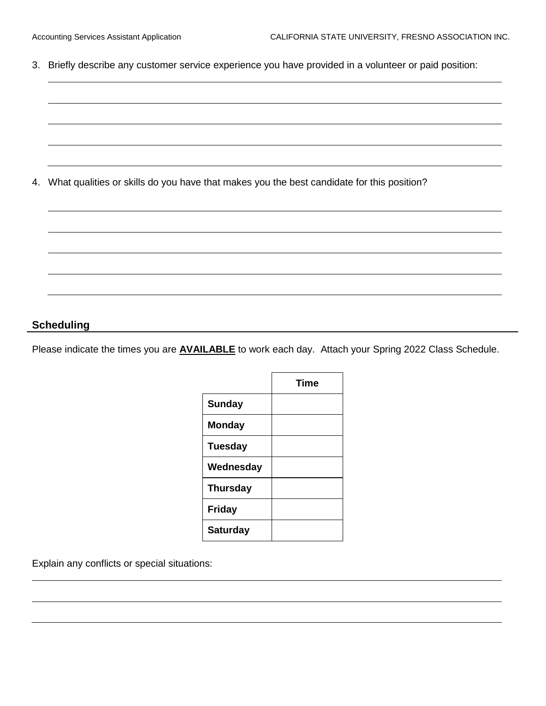3. Briefly describe any customer service experience you have provided in a volunteer or paid position:

4. What qualities or skills do you have that makes you the best candidate for this position?

#### **Scheduling**

Please indicate the times you are **AVAILABLE** to work each day. Attach your Spring 2022 Class Schedule.

|                 | <b>Time</b> |
|-----------------|-------------|
| <b>Sunday</b>   |             |
| <b>Monday</b>   |             |
| <b>Tuesday</b>  |             |
| Wednesday       |             |
| <b>Thursday</b> |             |
| <b>Friday</b>   |             |
| <b>Saturday</b> |             |

Explain any conflicts or special situations: